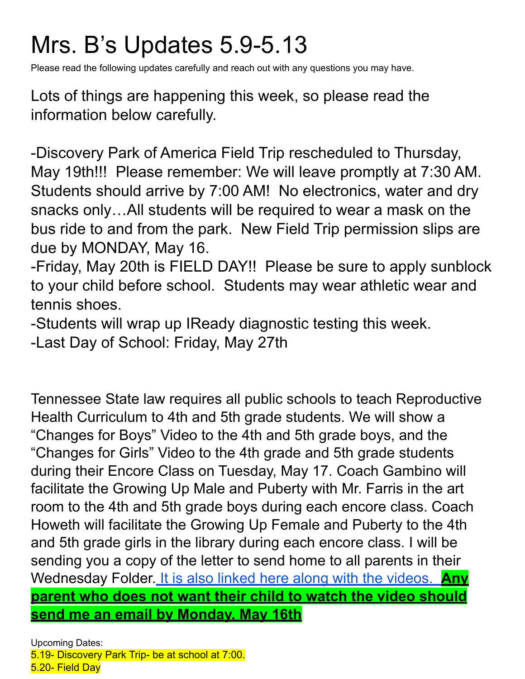# Mrs. B's Updates 5.9-5.13

Please read the following updates carefully and reach out with any questions you may have.

Lots of things are happening this week, so please read the information below carefully.

-Discovery Park of America Field Trip rescheduled to Thursday, May 19th!!! Please remember: We will leave promptly at 7:30 AM. Students should arrive by 7:00 AM! No electronics, water and dry snacks only…All students will be required to wear a mask on the bus ride to and from the park. New Field Trip permission slips are due by MONDAY, May 16.

-Friday, May 20th is FIELD DAY!! Please be sure to apply sunblock to your child before school. Students may wear athletic wear and tennis shoes.

-Students will wrap up IReady diagnostic testing this week.

-Last Day of School: Friday, May 27th

Tennessee State law requires all public schools to teach Reproductive Health Curriculum to 4th and 5th grade students. We will show a "Changes for Boys" Video to the 4th and 5th grade boys, and the "Changes for Girls" Video to the 4th grade and 5th grade students during their Encore Class on Tuesday, May 17. Coach Gambino will facilitate the Growing Up Male and Puberty with Mr. Farris in the art room to the 4th and 5th grade boys during each encore class. Coach Howeth will facilitate the Growing Up Female and Puberty to the 4th and 5th grade girls in the library during each encore class. I will be sending you a copy of the letter to send home to all parents in their Wednesday Folder. It is also linked here along with the [videos.](https://docs.google.com/document/d/12K7B3DrBBDraiOcUO74OOd8kROaAP2eK/edit?usp=sharing&ouid=108253847898517478753&rtpof=true&sd=true) **Any parent who does not want their child to watch the video should send me an email by Monday, May 16th**

Upcoming Dates: 5.19- Discovery Park Trip- be at school at 7:00. 5.20- Field Day